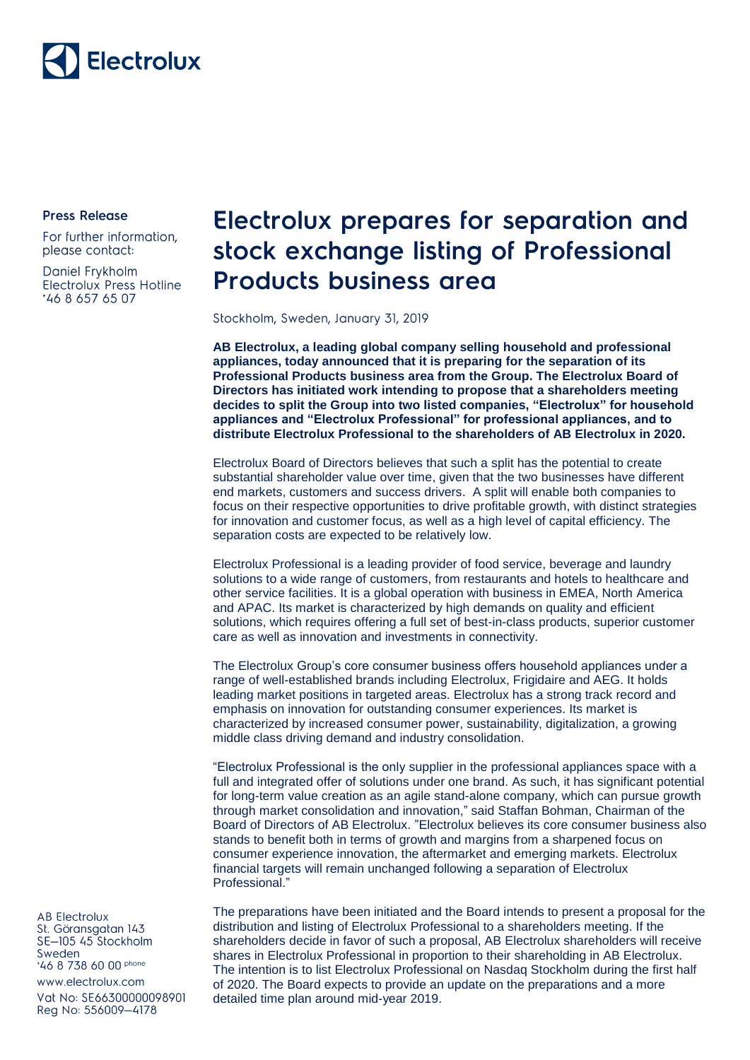## Electrolux

**Press Release** 

For further information, please contact:

Daniel Frykholm Electrolux Press Hotline \*46 8 657 65 07

## Electrolux prepares for separation and stock exchange listing of Professional **Products business area**

Stockholm, Sweden, January 31, 2019

**AB Electrolux, a leading global company selling household and professional appliances, today announced that it is preparing for the separation of its Professional Products business area from the Group. The Electrolux Board of Directors has initiated work intending to propose that a shareholders meeting decides to split the Group into two listed companies, "Electrolux" for household appliances and "Electrolux Professional" for professional appliances, and to distribute Electrolux Professional to the shareholders of AB Electrolux in 2020.**

Electrolux Board of Directors believes that such a split has the potential to create substantial shareholder value over time, given that the two businesses have different end markets, customers and success drivers. A split will enable both companies to focus on their respective opportunities to drive profitable growth, with distinct strategies for innovation and customer focus, as well as a high level of capital efficiency. The separation costs are expected to be relatively low.

Electrolux Professional is a leading provider of food service, beverage and laundry solutions to a wide range of customers, from restaurants and hotels to healthcare and other service facilities. It is a global operation with business in EMEA, North America and APAC. Its market is characterized by high demands on quality and efficient solutions, which requires offering a full set of best-in-class products, superior customer care as well as innovation and investments in connectivity.

The Electrolux Group's core consumer business offers household appliances under a range of well-established brands including Electrolux, Frigidaire and AEG. It holds leading market positions in targeted areas. Electrolux has a strong track record and emphasis on innovation for outstanding consumer experiences. Its market is characterized by increased consumer power, sustainability, digitalization, a growing middle class driving demand and industry consolidation.

"Electrolux Professional is the only supplier in the professional appliances space with a full and integrated offer of solutions under one brand. As such, it has significant potential for long-term value creation as an agile stand-alone company, which can pursue growth through market consolidation and innovation," said Staffan Bohman, Chairman of the Board of Directors of AB Electrolux. "Electrolux believes its core consumer business also stands to benefit both in terms of growth and margins from a sharpened focus on consumer experience innovation, the aftermarket and emerging markets. Electrolux financial targets will remain unchanged following a separation of Electrolux Professional."

The preparations have been initiated and the Board intends to present a proposal for the distribution and listing of Electrolux Professional to a shareholders meeting. If the shareholders decide in favor of such a proposal, AB Electrolux shareholders will receive shares in Electrolux Professional in proportion to their shareholding in AB Electrolux. The intention is to list Electrolux Professional on Nasdaq Stockholm during the first half of 2020. The Board expects to provide an update on the preparations and a more detailed time plan around mid-year 2019.

**AB Electrolux** St. Göransgatan 143 SE-105 45 Stockholm Sweden \*46 8 738 60 00 phone

www.electrolux.com

Vat No: SE66300000098901 Reg No: 556009-4178